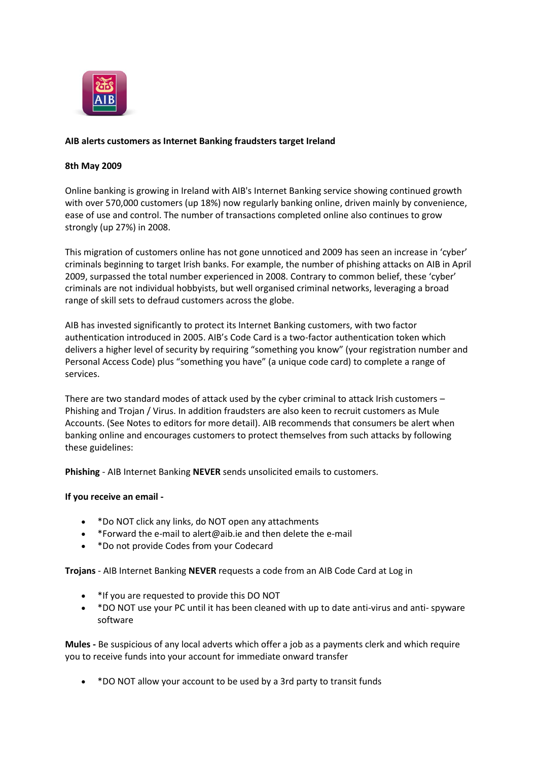

# **AIB alerts customers as Internet Banking fraudsters target Ireland**

#### **8th May 2009**

Online banking is growing in Ireland with AIB's Internet Banking service showing continued growth with over 570,000 customers (up 18%) now regularly banking online, driven mainly by convenience, ease of use and control. The number of transactions completed online also continues to grow strongly (up 27%) in 2008.

This migration of customers online has not gone unnoticed and 2009 has seen an increase in 'cyber' criminals beginning to target Irish banks. For example, the number of phishing attacks on AIB in April 2009, surpassed the total number experienced in 2008. Contrary to common belief, these 'cyber' criminals are not individual hobbyists, but well organised criminal networks, leveraging a broad range of skill sets to defraud customers across the globe.

AIB has invested significantly to protect its Internet Banking customers, with two factor authentication introduced in 2005. AIB's Code Card is a two-factor authentication token which delivers a higher level of security by requiring "something you know" (your registration number and Personal Access Code) plus "something you have" (a unique code card) to complete a range of services.

There are two standard modes of attack used by the cyber criminal to attack Irish customers – Phishing and Trojan / Virus. In addition fraudsters are also keen to recruit customers as Mule Accounts. (See Notes to editors for more detail). AIB recommends that consumers be alert when banking online and encourages customers to protect themselves from such attacks by following these guidelines:

**Phishing** - AIB Internet Banking **NEVER** sends unsolicited emails to customers.

## **If you receive an email -**

- \*Do NOT click any links, do NOT open any attachments
- \*Forward the e-mail to alert@aib.ie and then delete the e-mail
- \*Do not provide Codes from your Codecard

**Trojans** - AIB Internet Banking **NEVER** requests a code from an AIB Code Card at Log in

- \*If you are requested to provide this DO NOT
- \*DO NOT use your PC until it has been cleaned with up to date anti-virus and anti- spyware software

**Mules -** Be suspicious of any local adverts which offer a job as a payments clerk and which require you to receive funds into your account for immediate onward transfer

• \*DO NOT allow your account to be used by a 3rd party to transit funds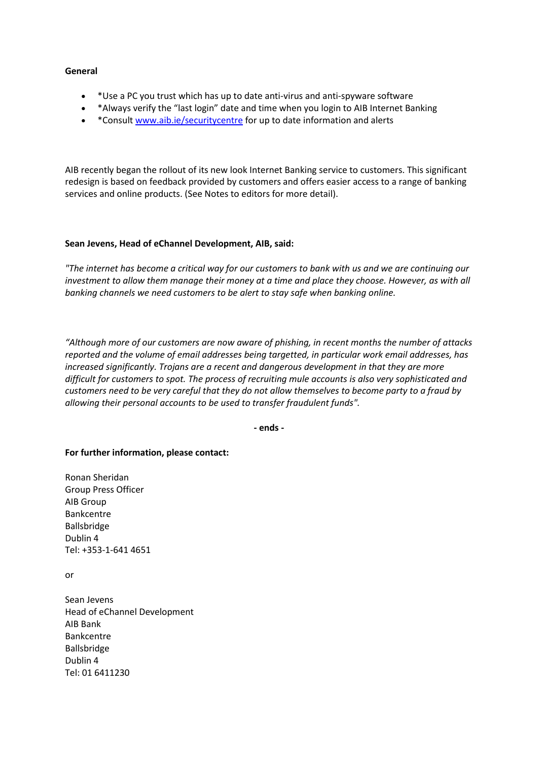#### **General**

- \*Use a PC you trust which has up to date anti-virus and anti-spyware software
- \*Always verify the "last login" date and time when you login to AIB Internet Banking
- \* \*Consul[t www.aib.ie/securitycentre](http://www.aib.ie/securitycentre) for up to date information and alerts

AIB recently began the rollout of its new look Internet Banking service to customers. This significant redesign is based on feedback provided by customers and offers easier access to a range of banking services and online products. (See Notes to editors for more detail).

## **Sean Jevens, Head of eChannel Development, AIB, said:**

*"The internet has become a critical way for our customers to bank with us and we are continuing our investment to allow them manage their money at a time and place they choose. However, as with all banking channels we need customers to be alert to stay safe when banking online.*

*"Although more of our customers are now aware of phishing, in recent months the number of attacks reported and the volume of email addresses being targetted, in particular work email addresses, has increased significantly. Trojans are a recent and dangerous development in that they are more difficult for customers to spot. The process of recruiting mule accounts is also very sophisticated and customers need to be very careful that they do not allow themselves to become party to a fraud by allowing their personal accounts to be used to transfer fraudulent funds".*

**- ends -**

## **For further information, please contact:**

Ronan Sheridan Group Press Officer AIB Group Bankcentre Ballsbridge Dublin 4 Tel: +353-1-641 4651

or

Sean Jevens Head of eChannel Development AIB Bank Bankcentre Ballsbridge Dublin 4 Tel: 01 6411230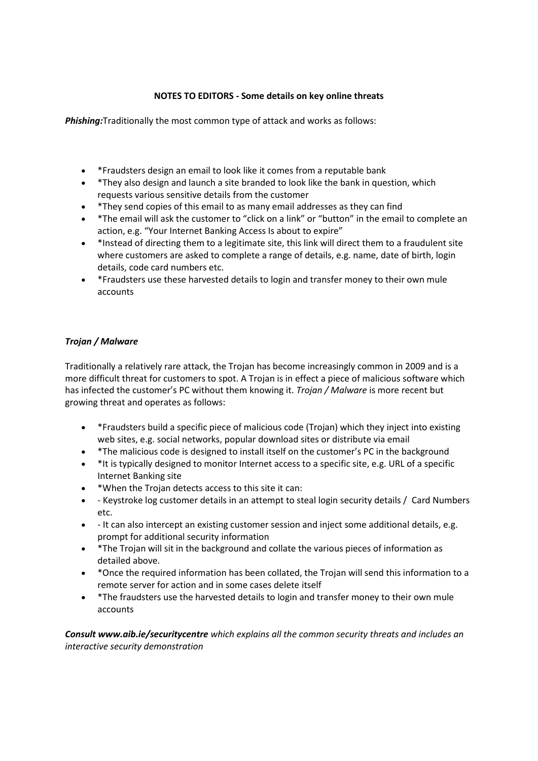# **NOTES TO EDITORS - Some details on key online threats**

*Phishing:*Traditionally the most common type of attack and works as follows:

- \*Fraudsters design an email to look like it comes from a reputable bank
- \*They also design and launch a site branded to look like the bank in question, which requests various sensitive details from the customer
- \*They send copies of this email to as many email addresses as they can find
- \*The email will ask the customer to "click on a link" or "button" in the email to complete an action, e.g. "Your Internet Banking Access Is about to expire"
- \*Instead of directing them to a legitimate site, this link will direct them to a fraudulent site where customers are asked to complete a range of details, e.g. name, date of birth, login details, code card numbers etc.
- \*Fraudsters use these harvested details to login and transfer money to their own mule accounts

# *Trojan / Malware*

Traditionally a relatively rare attack, the Trojan has become increasingly common in 2009 and is a more difficult threat for customers to spot. A Trojan is in effect a piece of malicious software which has infected the customer's PC without them knowing it. *Trojan / Malware* is more recent but growing threat and operates as follows:

- \*Fraudsters build a specific piece of malicious code (Trojan) which they inject into existing web sites, e.g. social networks, popular download sites or distribute via email
- \*The malicious code is designed to install itself on the customer's PC in the background
- \*It is typically designed to monitor Internet access to a specific site, e.g. URL of a specific Internet Banking site
- \*When the Trojan detects access to this site it can:
- Keystroke log customer details in an attempt to steal login security details / Card Numbers etc.
- It can also intercept an existing customer session and inject some additional details, e.g. prompt for additional security information
- \*The Trojan will sit in the background and collate the various pieces of information as detailed above.
- \*Once the required information has been collated, the Trojan will send this information to a remote server for action and in some cases delete itself
- \*The fraudsters use the harvested details to login and transfer money to their own mule accounts

*Consult www.aib.ie/securitycentre which explains all the common security threats and includes an interactive security demonstration*